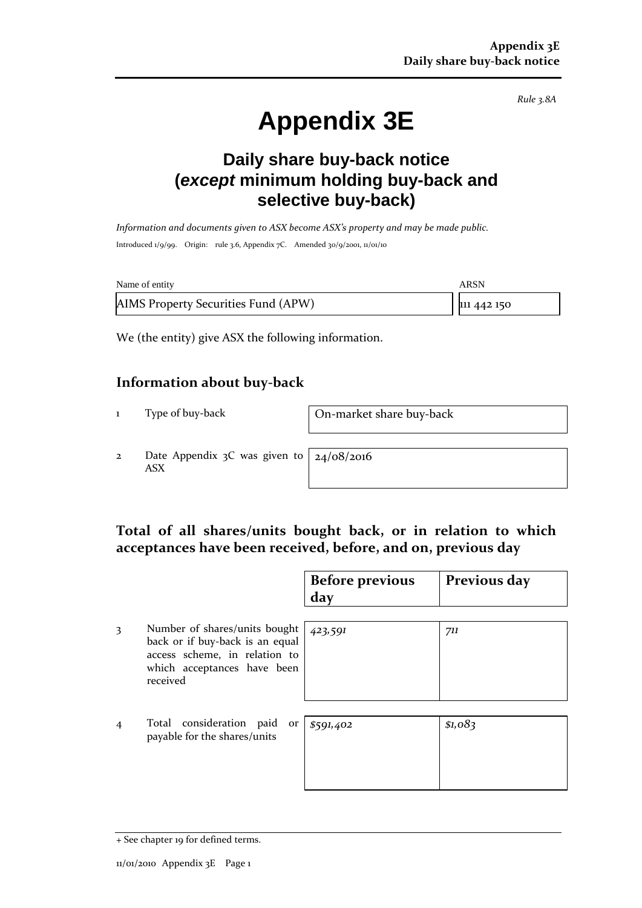*Rule 3.8A*

# **Appendix 3E**

# **Daily share buy-back notice (***except* **minimum holding buy-back and selective buy-back)**

*Information and documents given to ASX become ASX's property and may be made public.* Introduced 1/9/99. Origin: rule 3.6, Appendix 7C. Amended 30/9/2001, 11/01/10

| Name of entity                      | ARSN        |
|-------------------------------------|-------------|
| AIMS Property Securities Fund (APW) | 111 442 150 |

We (the entity) give ASX the following information.

#### **Information about buy-back**

1 Type of buy-back On-market share buy-back

2 Date Appendix  $3C$  was given to ASX

24/08/2016

## **Total of all shares/units bought back, or in relation to which acceptances have been received, before, and on, previous day**

|                |                                                                                                                                              | <b>Before previous</b><br>day | Previous day |
|----------------|----------------------------------------------------------------------------------------------------------------------------------------------|-------------------------------|--------------|
| 3              | Number of shares/units bought<br>back or if buy-back is an equal<br>access scheme, in relation to<br>which acceptances have been<br>received | 423,591                       | 711          |
| $\overline{4}$ | Total consideration paid or<br>payable for the shares/units                                                                                  | \$591,402                     | \$1,083      |

<sup>+</sup> See chapter 19 for defined terms.